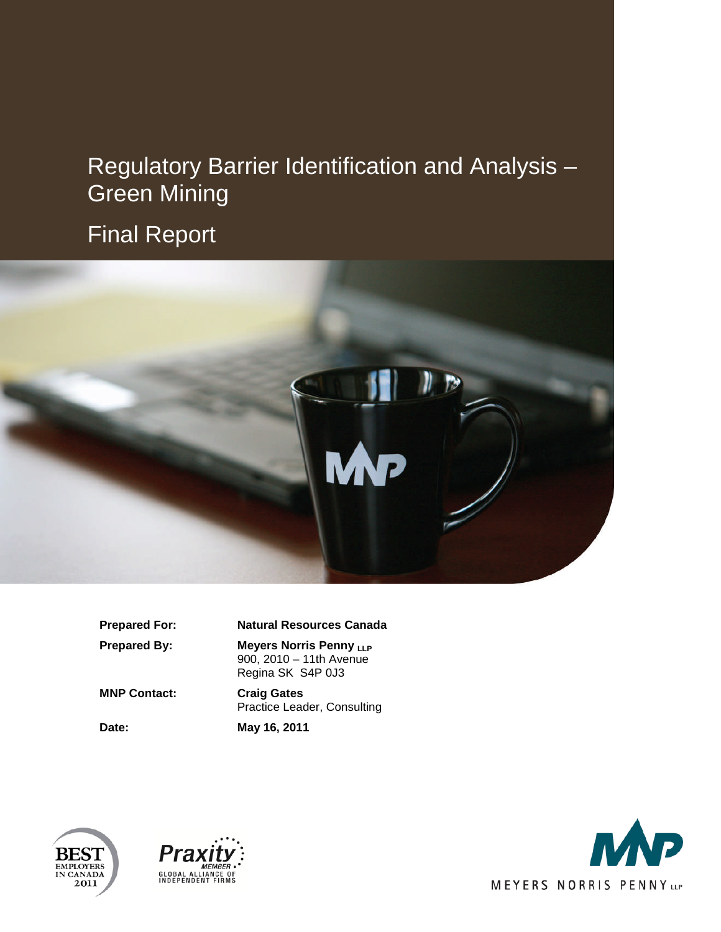# Regulatory Barrier Identification and Analysis – Green Mining

# Final Report



#### **Prepared For: Natural Resources Canada**

**Prepared By:** Meyers Norris Penny LLP 900, 2010 – 11th Avenue Regina SK S4P 0J3

**MNP Contact: Craig Gates**

Practice Leader, Consulting

**Date: May 16, 2011**





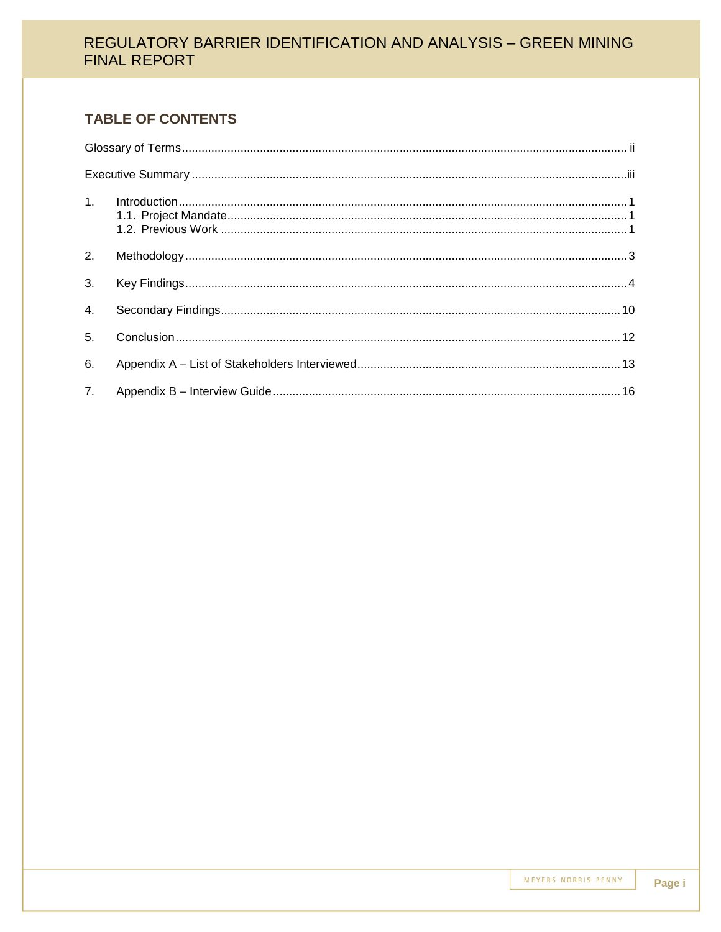## **TABLE OF CONTENTS**

| 2.             |  |
|----------------|--|
| 3 <sub>1</sub> |  |
| 4.             |  |
| 5 <sub>1</sub> |  |
| 6.             |  |
|                |  |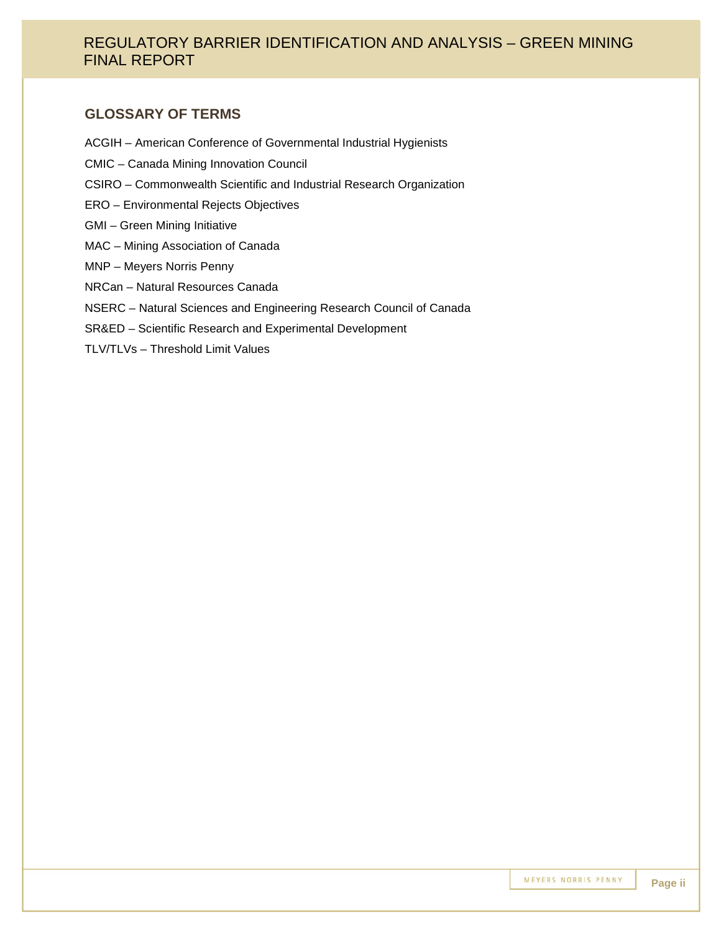#### **GLOSSARY OF TERMS**

- ACGIH American Conference of Governmental Industrial Hygienists
- CMIC Canada Mining Innovation Council
- CSIRO Commonwealth Scientific and Industrial Research Organization
- ERO Environmental Rejects Objectives
- GMI Green Mining Initiative
- MAC Mining Association of Canada
- MNP Meyers Norris Penny
- NRCan Natural Resources Canada
- NSERC Natural Sciences and Engineering Research Council of Canada
- SR&ED Scientific Research and Experimental Development
- TLV/TLVs Threshold Limit Values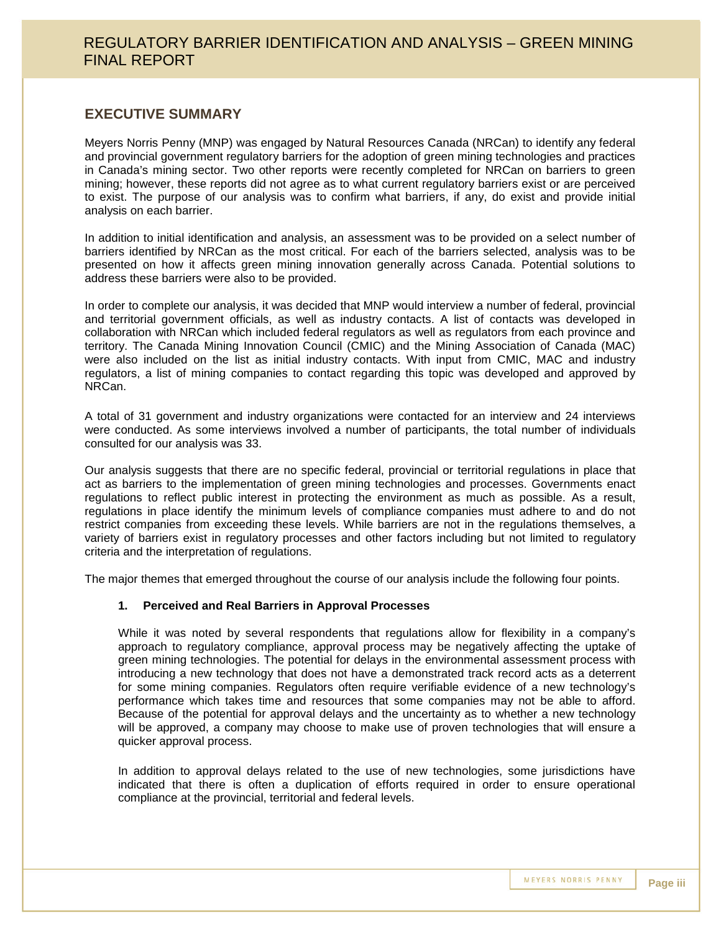#### **EXECUTIVE SUMMARY**

Meyers Norris Penny (MNP) was engaged by Natural Resources Canada (NRCan) to identify any federal and provincial government regulatory barriers for the adoption of green mining technologies and practices in Canada's mining sector. Two other reports were recently completed for NRCan on barriers to green mining; however, these reports did not agree as to what current regulatory barriers exist or are perceived to exist. The purpose of our analysis was to confirm what barriers, if any, do exist and provide initial analysis on each barrier.

In addition to initial identification and analysis, an assessment was to be provided on a select number of barriers identified by NRCan as the most critical. For each of the barriers selected, analysis was to be presented on how it affects green mining innovation generally across Canada. Potential solutions to address these barriers were also to be provided.

In order to complete our analysis, it was decided that MNP would interview a number of federal, provincial and territorial government officials, as well as industry contacts. A list of contacts was developed in collaboration with NRCan which included federal regulators as well as regulators from each province and territory. The Canada Mining Innovation Council (CMIC) and the Mining Association of Canada (MAC) were also included on the list as initial industry contacts. With input from CMIC, MAC and industry regulators, a list of mining companies to contact regarding this topic was developed and approved by NRCan.

A total of 31 government and industry organizations were contacted for an interview and 24 interviews were conducted. As some interviews involved a number of participants, the total number of individuals consulted for our analysis was 33.

Our analysis suggests that there are no specific federal, provincial or territorial regulations in place that act as barriers to the implementation of green mining technologies and processes. Governments enact regulations to reflect public interest in protecting the environment as much as possible. As a result, regulations in place identify the minimum levels of compliance companies must adhere to and do not restrict companies from exceeding these levels. While barriers are not in the regulations themselves, a variety of barriers exist in regulatory processes and other factors including but not limited to regulatory criteria and the interpretation of regulations.

The major themes that emerged throughout the course of our analysis include the following four points.

#### **1. Perceived and Real Barriers in Approval Processes**

While it was noted by several respondents that regulations allow for flexibility in a company's approach to regulatory compliance, approval process may be negatively affecting the uptake of green mining technologies. The potential for delays in the environmental assessment process with introducing a new technology that does not have a demonstrated track record acts as a deterrent for some mining companies. Regulators often require verifiable evidence of a new technology's performance which takes time and resources that some companies may not be able to afford. Because of the potential for approval delays and the uncertainty as to whether a new technology will be approved, a company may choose to make use of proven technologies that will ensure a quicker approval process.

In addition to approval delays related to the use of new technologies, some jurisdictions have indicated that there is often a duplication of efforts required in order to ensure operational compliance at the provincial, territorial and federal levels.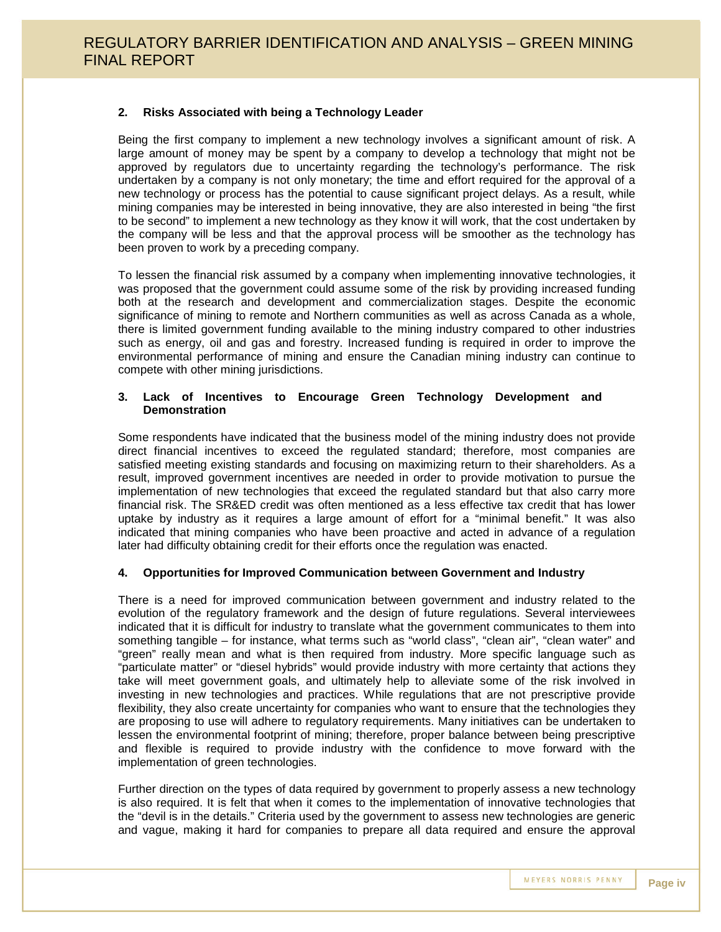#### **2. Risks Associated with being a Technology Leader**

Being the first company to implement a new technology involves a significant amount of risk. A large amount of money may be spent by a company to develop a technology that might not be approved by regulators due to uncertainty regarding the technology's performance. The risk undertaken by a company is not only monetary; the time and effort required for the approval of a new technology or process has the potential to cause significant project delays. As a result, while mining companies may be interested in being innovative, they are also interested in being "the first to be second" to implement a new technology as they know it will work, that the cost undertaken by the company will be less and that the approval process will be smoother as the technology has been proven to work by a preceding company.

To lessen the financial risk assumed by a company when implementing innovative technologies, it was proposed that the government could assume some of the risk by providing increased funding both at the research and development and commercialization stages. Despite the economic significance of mining to remote and Northern communities as well as across Canada as a whole, there is limited government funding available to the mining industry compared to other industries such as energy, oil and gas and forestry. Increased funding is required in order to improve the environmental performance of mining and ensure the Canadian mining industry can continue to compete with other mining jurisdictions.

#### **3. Lack of Incentives to Encourage Green Technology Development and Demonstration**

Some respondents have indicated that the business model of the mining industry does not provide direct financial incentives to exceed the regulated standard; therefore, most companies are satisfied meeting existing standards and focusing on maximizing return to their shareholders. As a result, improved government incentives are needed in order to provide motivation to pursue the implementation of new technologies that exceed the regulated standard but that also carry more financial risk. The SR&ED credit was often mentioned as a less effective tax credit that has lower uptake by industry as it requires a large amount of effort for a "minimal benefit." It was also indicated that mining companies who have been proactive and acted in advance of a regulation later had difficulty obtaining credit for their efforts once the regulation was enacted.

#### **4. Opportunities for Improved Communication between Government and Industry**

There is a need for improved communication between government and industry related to the evolution of the regulatory framework and the design of future regulations. Several interviewees indicated that it is difficult for industry to translate what the government communicates to them into something tangible – for instance, what terms such as "world class", "clean air", "clean water" and "green" really mean and what is then required from industry. More specific language such as "particulate matter" or "diesel hybrids" would provide industry with more certainty that actions they take will meet government goals, and ultimately help to alleviate some of the risk involved in investing in new technologies and practices. While regulations that are not prescriptive provide flexibility, they also create uncertainty for companies who want to ensure that the technologies they are proposing to use will adhere to regulatory requirements. Many initiatives can be undertaken to lessen the environmental footprint of mining; therefore, proper balance between being prescriptive and flexible is required to provide industry with the confidence to move forward with the implementation of green technologies.

Further direction on the types of data required by government to properly assess a new technology is also required. It is felt that when it comes to the implementation of innovative technologies that the "devil is in the details." Criteria used by the government to assess new technologies are generic and vague, making it hard for companies to prepare all data required and ensure the approval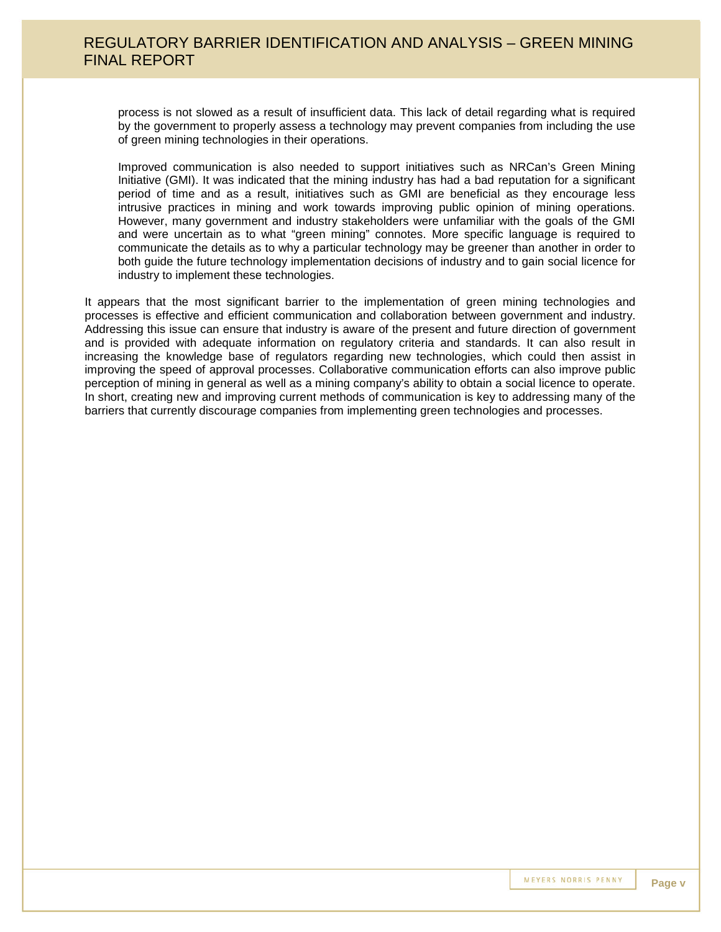process is not slowed as a result of insufficient data. This lack of detail regarding what is required by the government to properly assess a technology may prevent companies from including the use of green mining technologies in their operations.

Improved communication is also needed to support initiatives such as NRCan's Green Mining Initiative (GMI). It was indicated that the mining industry has had a bad reputation for a significant period of time and as a result, initiatives such as GMI are beneficial as they encourage less intrusive practices in mining and work towards improving public opinion of mining operations. However, many government and industry stakeholders were unfamiliar with the goals of the GMI and were uncertain as to what "green mining" connotes. More specific language is required to communicate the details as to why a particular technology may be greener than another in order to both guide the future technology implementation decisions of industry and to gain social licence for industry to implement these technologies.

It appears that the most significant barrier to the implementation of green mining technologies and processes is effective and efficient communication and collaboration between government and industry. Addressing this issue can ensure that industry is aware of the present and future direction of government and is provided with adequate information on regulatory criteria and standards. It can also result in increasing the knowledge base of regulators regarding new technologies, which could then assist in improving the speed of approval processes. Collaborative communication efforts can also improve public perception of mining in general as well as a mining company's ability to obtain a social licence to operate. In short, creating new and improving current methods of communication is key to addressing many of the barriers that currently discourage companies from implementing green technologies and processes.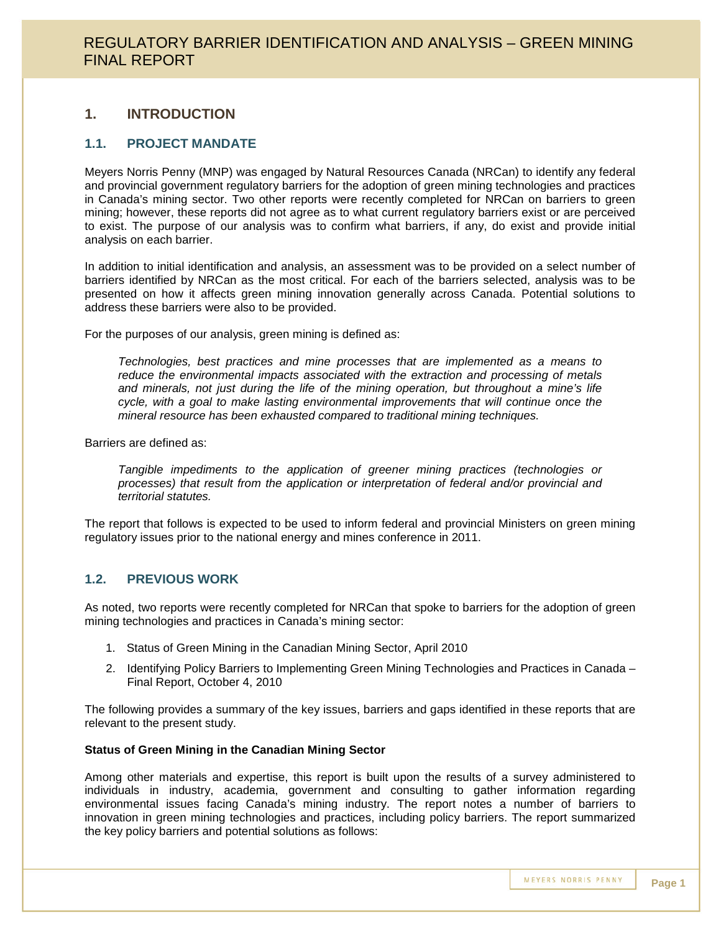### **1. INTRODUCTION**

#### **1.1. PROJECT MANDATE**

Meyers Norris Penny (MNP) was engaged by Natural Resources Canada (NRCan) to identify any federal and provincial government regulatory barriers for the adoption of green mining technologies and practices in Canada's mining sector. Two other reports were recently completed for NRCan on barriers to green mining; however, these reports did not agree as to what current regulatory barriers exist or are perceived to exist. The purpose of our analysis was to confirm what barriers, if any, do exist and provide initial analysis on each barrier.

In addition to initial identification and analysis, an assessment was to be provided on a select number of barriers identified by NRCan as the most critical. For each of the barriers selected, analysis was to be presented on how it affects green mining innovation generally across Canada. Potential solutions to address these barriers were also to be provided.

For the purposes of our analysis, green mining is defined as:

*Technologies, best practices and mine processes that are implemented as a means to reduce the environmental impacts associated with the extraction and processing of metals and minerals, not just during the life of the mining operation, but throughout a mine's life cycle, with a goal to make lasting environmental improvements that will continue once the mineral resource has been exhausted compared to traditional mining techniques.*

Barriers are defined as:

*Tangible impediments to the application of greener mining practices (technologies or processes) that result from the application or interpretation of federal and/or provincial and territorial statutes.*

The report that follows is expected to be used to inform federal and provincial Ministers on green mining regulatory issues prior to the national energy and mines conference in 2011.

### **1.2. PREVIOUS WORK**

As noted, two reports were recently completed for NRCan that spoke to barriers for the adoption of green mining technologies and practices in Canada's mining sector:

- 1. Status of Green Mining in the Canadian Mining Sector, April 2010
- 2. Identifying Policy Barriers to Implementing Green Mining Technologies and Practices in Canada Final Report, October 4, 2010

The following provides a summary of the key issues, barriers and gaps identified in these reports that are relevant to the present study.

#### **Status of Green Mining in the Canadian Mining Sector**

Among other materials and expertise, this report is built upon the results of a survey administered to individuals in industry, academia, government and consulting to gather information regarding environmental issues facing Canada's mining industry. The report notes a number of barriers to innovation in green mining technologies and practices, including policy barriers. The report summarized the key policy barriers and potential solutions as follows: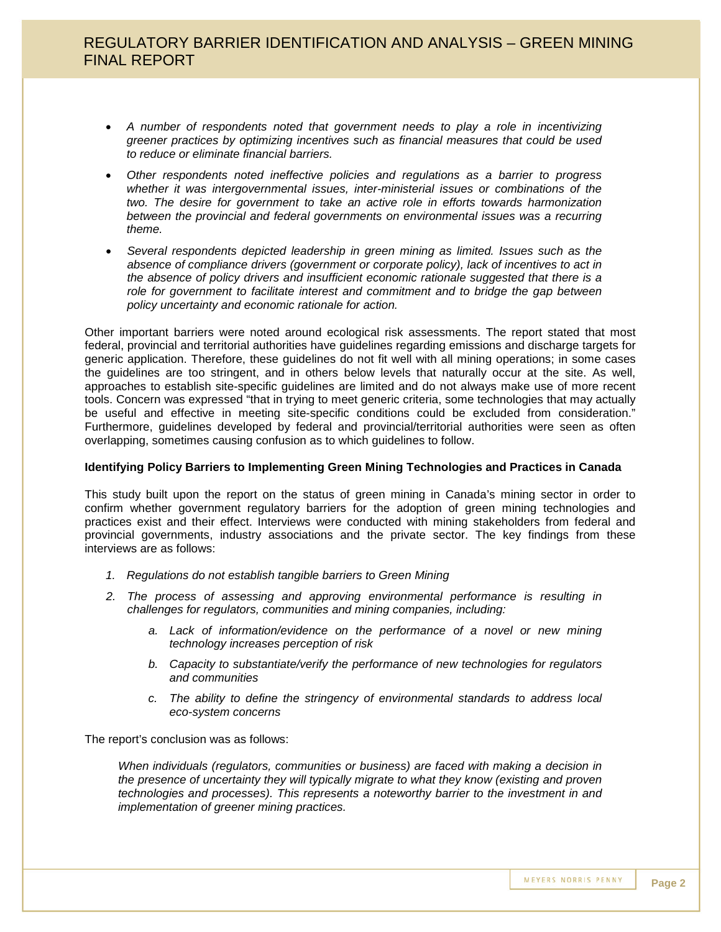- *A number of respondents noted that government needs to play a role in incentivizing greener practices by optimizing incentives such as financial measures that could be used to reduce or eliminate financial barriers.*
- *Other respondents noted ineffective policies and regulations as a barrier to progress whether it was intergovernmental issues, inter-ministerial issues or combinations of the two. The desire for government to take an active role in efforts towards harmonization between the provincial and federal governments on environmental issues was a recurring theme.*
- *Several respondents depicted leadership in green mining as limited. Issues such as the absence of compliance drivers (government or corporate policy), lack of incentives to act in the absence of policy drivers and insufficient economic rationale suggested that there is a role for government to facilitate interest and commitment and to bridge the gap between policy uncertainty and economic rationale for action.*

Other important barriers were noted around ecological risk assessments. The report stated that most federal, provincial and territorial authorities have guidelines regarding emissions and discharge targets for generic application. Therefore, these guidelines do not fit well with all mining operations; in some cases the guidelines are too stringent, and in others below levels that naturally occur at the site. As well, approaches to establish site-specific guidelines are limited and do not always make use of more recent tools. Concern was expressed "that in trying to meet generic criteria, some technologies that may actually be useful and effective in meeting site-specific conditions could be excluded from consideration." Furthermore, guidelines developed by federal and provincial/territorial authorities were seen as often overlapping, sometimes causing confusion as to which guidelines to follow.

#### **Identifying Policy Barriers to Implementing Green Mining Technologies and Practices in Canada**

This study built upon the report on the status of green mining in Canada's mining sector in order to confirm whether government regulatory barriers for the adoption of green mining technologies and practices exist and their effect. Interviews were conducted with mining stakeholders from federal and provincial governments, industry associations and the private sector. The key findings from these interviews are as follows:

- *1. Regulations do not establish tangible barriers to Green Mining*
- *2. The process of assessing and approving environmental performance is resulting in challenges for regulators, communities and mining companies, including:*
	- *a. Lack of information/evidence on the performance of a novel or new mining technology increases perception of risk*
	- *b. Capacity to substantiate/verify the performance of new technologies for regulators and communities*
	- *c. The ability to define the stringency of environmental standards to address local eco-system concerns*

The report's conclusion was as follows:

*When individuals (regulators, communities or business) are faced with making a decision in the presence of uncertainty they will typically migrate to what they know (existing and proven technologies and processes). This represents a noteworthy barrier to the investment in and implementation of greener mining practices.*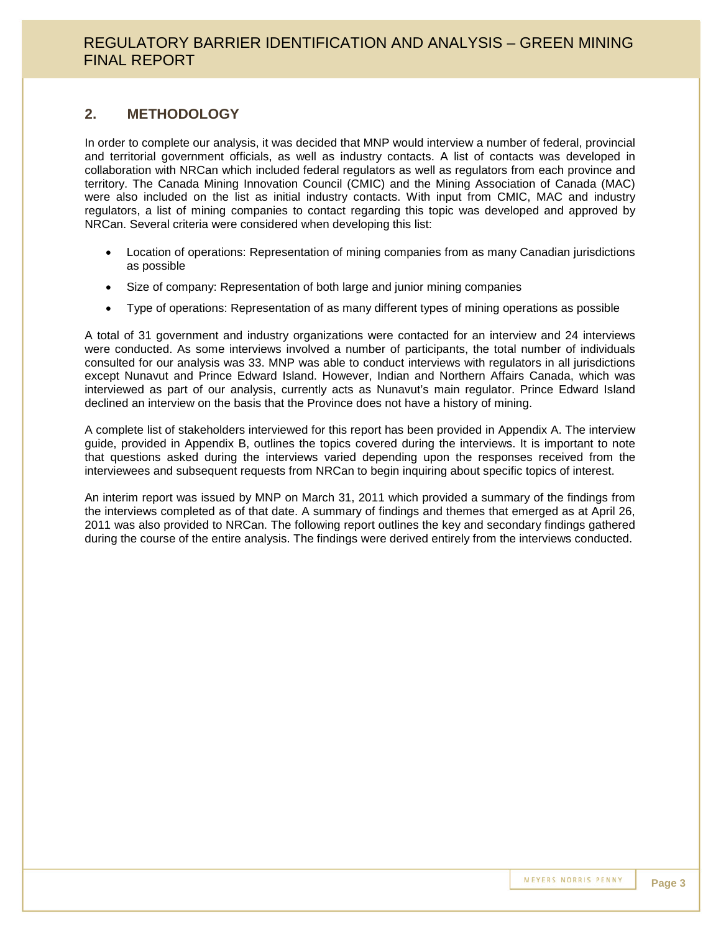### **2. METHODOLOGY**

In order to complete our analysis, it was decided that MNP would interview a number of federal, provincial and territorial government officials, as well as industry contacts. A list of contacts was developed in collaboration with NRCan which included federal regulators as well as regulators from each province and territory. The Canada Mining Innovation Council (CMIC) and the Mining Association of Canada (MAC) were also included on the list as initial industry contacts. With input from CMIC, MAC and industry regulators, a list of mining companies to contact regarding this topic was developed and approved by NRCan. Several criteria were considered when developing this list:

- Location of operations: Representation of mining companies from as many Canadian jurisdictions as possible
- Size of company: Representation of both large and junior mining companies
- Type of operations: Representation of as many different types of mining operations as possible

A total of 31 government and industry organizations were contacted for an interview and 24 interviews were conducted. As some interviews involved a number of participants, the total number of individuals consulted for our analysis was 33. MNP was able to conduct interviews with regulators in all jurisdictions except Nunavut and Prince Edward Island. However, Indian and Northern Affairs Canada, which was interviewed as part of our analysis, currently acts as Nunavut's main regulator. Prince Edward Island declined an interview on the basis that the Province does not have a history of mining.

A complete list of stakeholders interviewed for this report has been provided in Appendix A. The interview guide, provided in Appendix B, outlines the topics covered during the interviews. It is important to note that questions asked during the interviews varied depending upon the responses received from the interviewees and subsequent requests from NRCan to begin inquiring about specific topics of interest.

An interim report was issued by MNP on March 31, 2011 which provided a summary of the findings from the interviews completed as of that date. A summary of findings and themes that emerged as at April 26, 2011 was also provided to NRCan. The following report outlines the key and secondary findings gathered during the course of the entire analysis. The findings were derived entirely from the interviews conducted.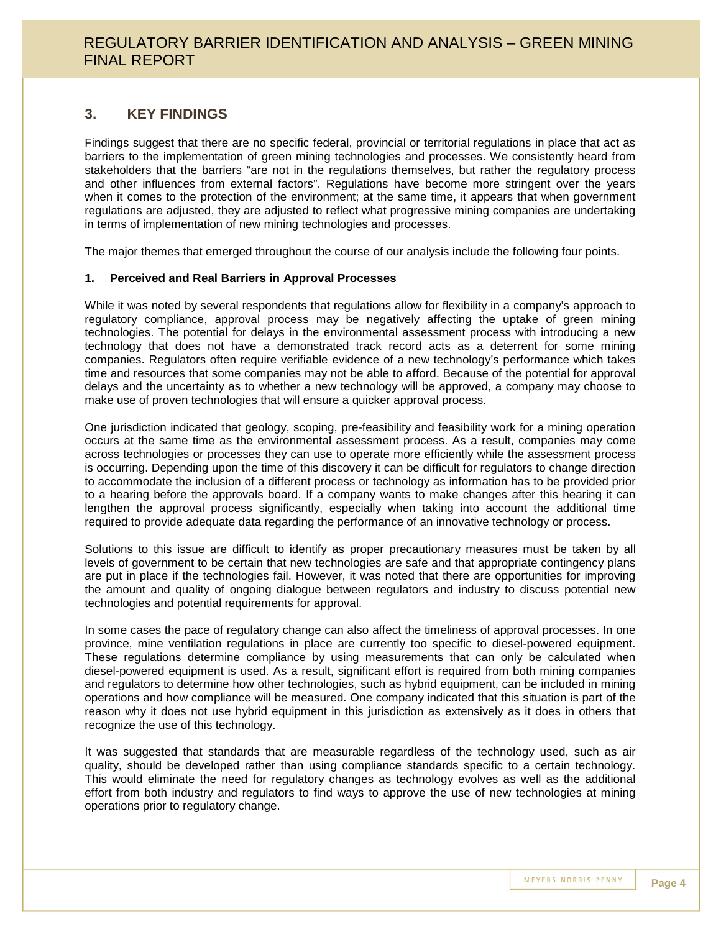### **3. KEY FINDINGS**

Findings suggest that there are no specific federal, provincial or territorial regulations in place that act as barriers to the implementation of green mining technologies and processes. We consistently heard from stakeholders that the barriers "are not in the regulations themselves, but rather the regulatory process and other influences from external factors". Regulations have become more stringent over the years when it comes to the protection of the environment; at the same time, it appears that when government regulations are adjusted, they are adjusted to reflect what progressive mining companies are undertaking in terms of implementation of new mining technologies and processes.

The major themes that emerged throughout the course of our analysis include the following four points.

#### **1. Perceived and Real Barriers in Approval Processes**

While it was noted by several respondents that regulations allow for flexibility in a company's approach to regulatory compliance, approval process may be negatively affecting the uptake of green mining technologies. The potential for delays in the environmental assessment process with introducing a new technology that does not have a demonstrated track record acts as a deterrent for some mining companies. Regulators often require verifiable evidence of a new technology's performance which takes time and resources that some companies may not be able to afford. Because of the potential for approval delays and the uncertainty as to whether a new technology will be approved, a company may choose to make use of proven technologies that will ensure a quicker approval process.

One jurisdiction indicated that geology, scoping, pre-feasibility and feasibility work for a mining operation occurs at the same time as the environmental assessment process. As a result, companies may come across technologies or processes they can use to operate more efficiently while the assessment process is occurring. Depending upon the time of this discovery it can be difficult for regulators to change direction to accommodate the inclusion of a different process or technology as information has to be provided prior to a hearing before the approvals board. If a company wants to make changes after this hearing it can lengthen the approval process significantly, especially when taking into account the additional time required to provide adequate data regarding the performance of an innovative technology or process.

Solutions to this issue are difficult to identify as proper precautionary measures must be taken by all levels of government to be certain that new technologies are safe and that appropriate contingency plans are put in place if the technologies fail. However, it was noted that there are opportunities for improving the amount and quality of ongoing dialogue between regulators and industry to discuss potential new technologies and potential requirements for approval.

In some cases the pace of regulatory change can also affect the timeliness of approval processes. In one province, mine ventilation regulations in place are currently too specific to diesel-powered equipment. These regulations determine compliance by using measurements that can only be calculated when diesel-powered equipment is used. As a result, significant effort is required from both mining companies and regulators to determine how other technologies, such as hybrid equipment, can be included in mining operations and how compliance will be measured. One company indicated that this situation is part of the reason why it does not use hybrid equipment in this jurisdiction as extensively as it does in others that recognize the use of this technology.

It was suggested that standards that are measurable regardless of the technology used, such as air quality, should be developed rather than using compliance standards specific to a certain technology. This would eliminate the need for regulatory changes as technology evolves as well as the additional effort from both industry and regulators to find ways to approve the use of new technologies at mining operations prior to regulatory change.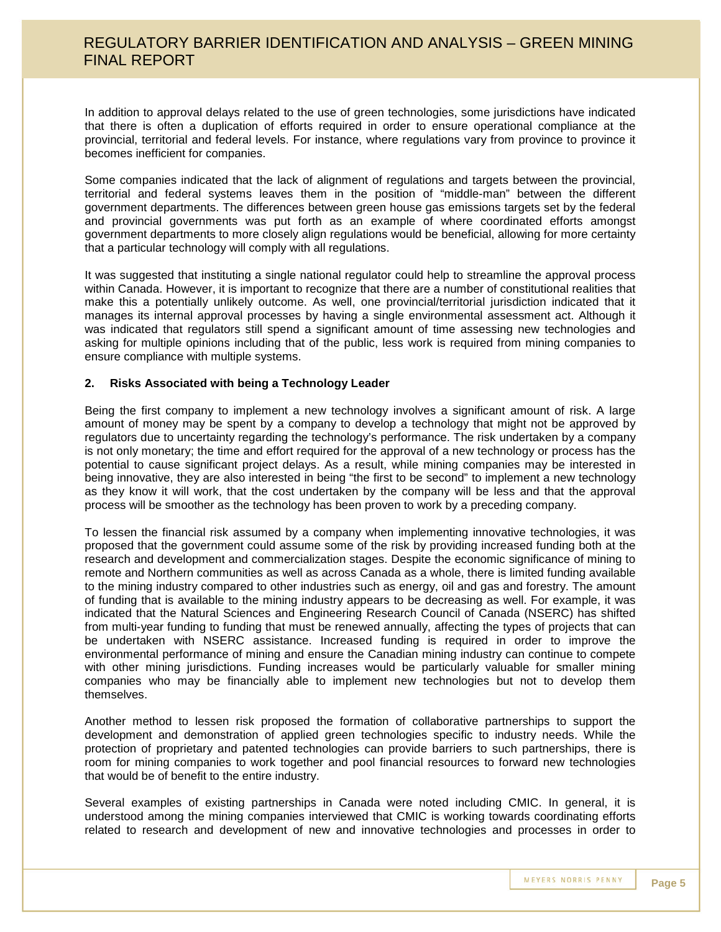In addition to approval delays related to the use of green technologies, some jurisdictions have indicated that there is often a duplication of efforts required in order to ensure operational compliance at the provincial, territorial and federal levels. For instance, where regulations vary from province to province it becomes inefficient for companies.

Some companies indicated that the lack of alignment of regulations and targets between the provincial, territorial and federal systems leaves them in the position of "middle-man" between the different government departments. The differences between green house gas emissions targets set by the federal and provincial governments was put forth as an example of where coordinated efforts amongst government departments to more closely align regulations would be beneficial, allowing for more certainty that a particular technology will comply with all regulations.

It was suggested that instituting a single national regulator could help to streamline the approval process within Canada. However, it is important to recognize that there are a number of constitutional realities that make this a potentially unlikely outcome. As well, one provincial/territorial jurisdiction indicated that it manages its internal approval processes by having a single environmental assessment act. Although it was indicated that regulators still spend a significant amount of time assessing new technologies and asking for multiple opinions including that of the public, less work is required from mining companies to ensure compliance with multiple systems.

#### **2. Risks Associated with being a Technology Leader**

Being the first company to implement a new technology involves a significant amount of risk. A large amount of money may be spent by a company to develop a technology that might not be approved by regulators due to uncertainty regarding the technology's performance. The risk undertaken by a company is not only monetary; the time and effort required for the approval of a new technology or process has the potential to cause significant project delays. As a result, while mining companies may be interested in being innovative, they are also interested in being "the first to be second" to implement a new technology as they know it will work, that the cost undertaken by the company will be less and that the approval process will be smoother as the technology has been proven to work by a preceding company.

To lessen the financial risk assumed by a company when implementing innovative technologies, it was proposed that the government could assume some of the risk by providing increased funding both at the research and development and commercialization stages. Despite the economic significance of mining to remote and Northern communities as well as across Canada as a whole, there is limited funding available to the mining industry compared to other industries such as energy, oil and gas and forestry. The amount of funding that is available to the mining industry appears to be decreasing as well. For example, it was indicated that the Natural Sciences and Engineering Research Council of Canada (NSERC) has shifted from multi-year funding to funding that must be renewed annually, affecting the types of projects that can be undertaken with NSERC assistance. Increased funding is required in order to improve the environmental performance of mining and ensure the Canadian mining industry can continue to compete with other mining jurisdictions. Funding increases would be particularly valuable for smaller mining companies who may be financially able to implement new technologies but not to develop them themselves.

Another method to lessen risk proposed the formation of collaborative partnerships to support the development and demonstration of applied green technologies specific to industry needs. While the protection of proprietary and patented technologies can provide barriers to such partnerships, there is room for mining companies to work together and pool financial resources to forward new technologies that would be of benefit to the entire industry.

Several examples of existing partnerships in Canada were noted including CMIC. In general, it is understood among the mining companies interviewed that CMIC is working towards coordinating efforts related to research and development of new and innovative technologies and processes in order to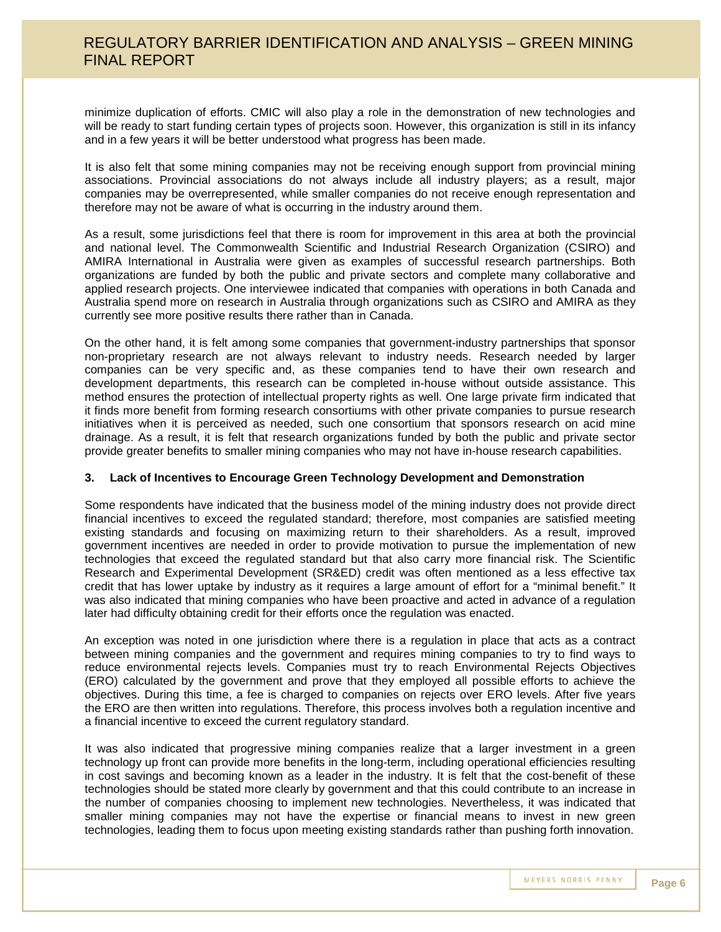minimize duplication of efforts. CMIC will also play a role in the demonstration of new technologies and will be ready to start funding certain types of projects soon. However, this organization is still in its infancy and in a few years it will be better understood what progress has been made.

It is also felt that some mining companies may not be receiving enough support from provincial mining associations. Provincial associations do not always include all industry players; as a result, major companies may be overrepresented, while smaller companies do not receive enough representation and therefore may not be aware of what is occurring in the industry around them.

As a result, some jurisdictions feel that there is room for improvement in this area at both the provincial and national level. The Commonwealth Scientific and Industrial Research Organization (CSIRO) and AMIRA International in Australia were given as examples of successful research partnerships. Both organizations are funded by both the public and private sectors and complete many collaborative and applied research projects. One interviewee indicated that companies with operations in both Canada and Australia spend more on research in Australia through organizations such as CSIRO and AMIRA as they currently see more positive results there rather than in Canada.

On the other hand, it is felt among some companies that government-industry partnerships that sponsor non-proprietary research are not always relevant to industry needs. Research needed by larger companies can be very specific and, as these companies tend to have their own research and development departments, this research can be completed in-house without outside assistance. This method ensures the protection of intellectual property rights as well. One large private firm indicated that it finds more benefit from forming research consortiums with other private companies to pursue research initiatives when it is perceived as needed, such one consortium that sponsors research on acid mine drainage. As a result, it is felt that research organizations funded by both the public and private sector provide greater benefits to smaller mining companies who may not have in-house research capabilities.

#### **3. Lack of Incentives to Encourage Green Technology Development and Demonstration**

Some respondents have indicated that the business model of the mining industry does not provide direct financial incentives to exceed the regulated standard; therefore, most companies are satisfied meeting existing standards and focusing on maximizing return to their shareholders. As a result, improved government incentives are needed in order to provide motivation to pursue the implementation of new technologies that exceed the regulated standard but that also carry more financial risk. The Scientific Research and Experimental Development (SR&ED) credit was often mentioned as a less effective tax credit that has lower uptake by industry as it requires a large amount of effort for a "minimal benefit." It was also indicated that mining companies who have been proactive and acted in advance of a regulation later had difficulty obtaining credit for their efforts once the regulation was enacted.

An exception was noted in one jurisdiction where there is a regulation in place that acts as a contract between mining companies and the government and requires mining companies to try to find ways to reduce environmental rejects levels. Companies must try to reach Environmental Rejects Objectives (ERO) calculated by the government and prove that they employed all possible efforts to achieve the objectives. During this time, a fee is charged to companies on rejects over ERO levels. After five years the ERO are then written into regulations. Therefore, this process involves both a regulation incentive and a financial incentive to exceed the current regulatory standard.

It was also indicated that progressive mining companies realize that a larger investment in a green technology up front can provide more benefits in the long-term, including operational efficiencies resulting in cost savings and becoming known as a leader in the industry. It is felt that the cost-benefit of these technologies should be stated more clearly by government and that this could contribute to an increase in the number of companies choosing to implement new technologies. Nevertheless, it was indicated that smaller mining companies may not have the expertise or financial means to invest in new green technologies, leading them to focus upon meeting existing standards rather than pushing forth innovation.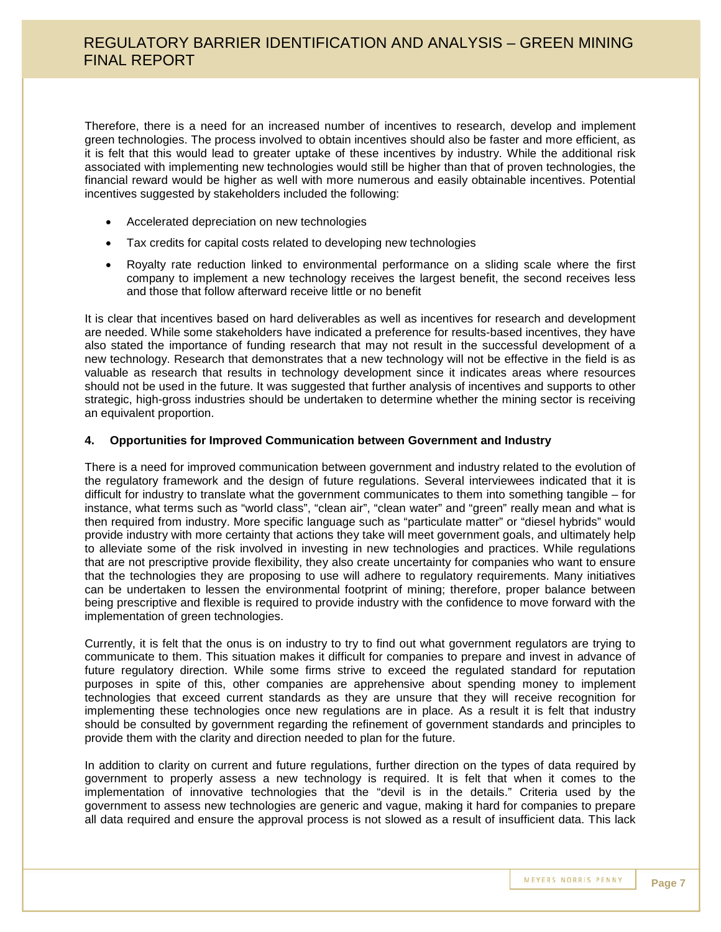Therefore, there is a need for an increased number of incentives to research, develop and implement green technologies. The process involved to obtain incentives should also be faster and more efficient, as it is felt that this would lead to greater uptake of these incentives by industry. While the additional risk associated with implementing new technologies would still be higher than that of proven technologies, the financial reward would be higher as well with more numerous and easily obtainable incentives. Potential incentives suggested by stakeholders included the following:

- Accelerated depreciation on new technologies
- Tax credits for capital costs related to developing new technologies
- Royalty rate reduction linked to environmental performance on a sliding scale where the first company to implement a new technology receives the largest benefit, the second receives less and those that follow afterward receive little or no benefit

It is clear that incentives based on hard deliverables as well as incentives for research and development are needed. While some stakeholders have indicated a preference for results-based incentives, they have also stated the importance of funding research that may not result in the successful development of a new technology. Research that demonstrates that a new technology will not be effective in the field is as valuable as research that results in technology development since it indicates areas where resources should not be used in the future. It was suggested that further analysis of incentives and supports to other strategic, high-gross industries should be undertaken to determine whether the mining sector is receiving an equivalent proportion.

#### **4. Opportunities for Improved Communication between Government and Industry**

There is a need for improved communication between government and industry related to the evolution of the regulatory framework and the design of future regulations. Several interviewees indicated that it is difficult for industry to translate what the government communicates to them into something tangible – for instance, what terms such as "world class", "clean air", "clean water" and "green" really mean and what is then required from industry. More specific language such as "particulate matter" or "diesel hybrids" would provide industry with more certainty that actions they take will meet government goals, and ultimately help to alleviate some of the risk involved in investing in new technologies and practices. While regulations that are not prescriptive provide flexibility, they also create uncertainty for companies who want to ensure that the technologies they are proposing to use will adhere to regulatory requirements. Many initiatives can be undertaken to lessen the environmental footprint of mining; therefore, proper balance between being prescriptive and flexible is required to provide industry with the confidence to move forward with the implementation of green technologies.

Currently, it is felt that the onus is on industry to try to find out what government regulators are trying to communicate to them. This situation makes it difficult for companies to prepare and invest in advance of future regulatory direction. While some firms strive to exceed the regulated standard for reputation purposes in spite of this, other companies are apprehensive about spending money to implement technologies that exceed current standards as they are unsure that they will receive recognition for implementing these technologies once new regulations are in place. As a result it is felt that industry should be consulted by government regarding the refinement of government standards and principles to provide them with the clarity and direction needed to plan for the future.

In addition to clarity on current and future regulations, further direction on the types of data required by government to properly assess a new technology is required. It is felt that when it comes to the implementation of innovative technologies that the "devil is in the details." Criteria used by the government to assess new technologies are generic and vague, making it hard for companies to prepare all data required and ensure the approval process is not slowed as a result of insufficient data. This lack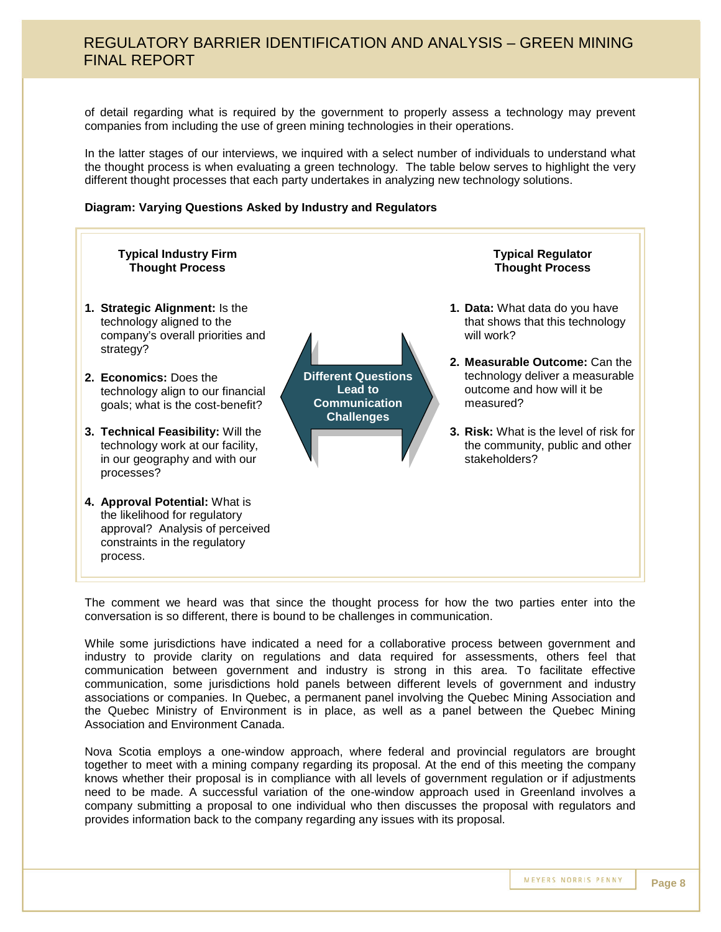of detail regarding what is required by the government to properly assess a technology may prevent companies from including the use of green mining technologies in their operations.

In the latter stages of our interviews, we inquired with a select number of individuals to understand what the thought process is when evaluating a green technology. The table below serves to highlight the very different thought processes that each party undertakes in analyzing new technology solutions.

#### **Diagram: Varying Questions Asked by Industry and Regulators**



The comment we heard was that since the thought process for how the two parties enter into the conversation is so different, there is bound to be challenges in communication.

While some jurisdictions have indicated a need for a collaborative process between government and industry to provide clarity on regulations and data required for assessments, others feel that communication between government and industry is strong in this area. To facilitate effective communication, some jurisdictions hold panels between different levels of government and industry associations or companies. In Quebec, a permanent panel involving the Quebec Mining Association and the Quebec Ministry of Environment is in place, as well as a panel between the Quebec Mining Association and Environment Canada.

Nova Scotia employs a one-window approach, where federal and provincial regulators are brought together to meet with a mining company regarding its proposal. At the end of this meeting the company knows whether their proposal is in compliance with all levels of government regulation or if adjustments need to be made. A successful variation of the one-window approach used in Greenland involves a company submitting a proposal to one individual who then discusses the proposal with regulators and provides information back to the company regarding any issues with its proposal.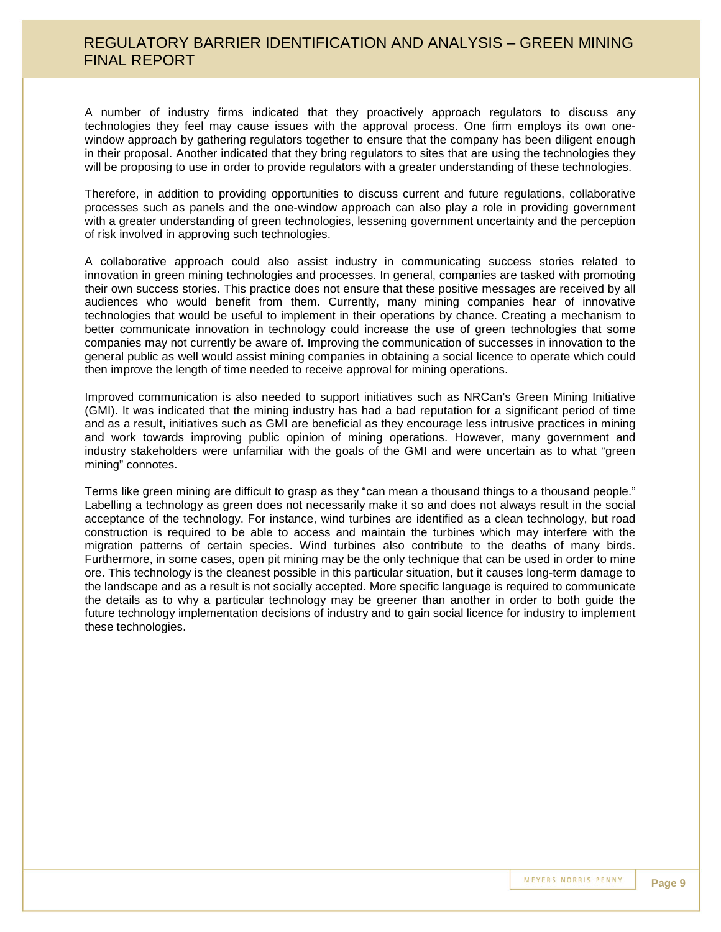A number of industry firms indicated that they proactively approach regulators to discuss any technologies they feel may cause issues with the approval process. One firm employs its own onewindow approach by gathering regulators together to ensure that the company has been diligent enough in their proposal. Another indicated that they bring regulators to sites that are using the technologies they will be proposing to use in order to provide regulators with a greater understanding of these technologies.

Therefore, in addition to providing opportunities to discuss current and future regulations, collaborative processes such as panels and the one-window approach can also play a role in providing government with a greater understanding of green technologies, lessening government uncertainty and the perception of risk involved in approving such technologies.

A collaborative approach could also assist industry in communicating success stories related to innovation in green mining technologies and processes. In general, companies are tasked with promoting their own success stories. This practice does not ensure that these positive messages are received by all audiences who would benefit from them. Currently, many mining companies hear of innovative technologies that would be useful to implement in their operations by chance. Creating a mechanism to better communicate innovation in technology could increase the use of green technologies that some companies may not currently be aware of. Improving the communication of successes in innovation to the general public as well would assist mining companies in obtaining a social licence to operate which could then improve the length of time needed to receive approval for mining operations.

Improved communication is also needed to support initiatives such as NRCan's Green Mining Initiative (GMI). It was indicated that the mining industry has had a bad reputation for a significant period of time and as a result, initiatives such as GMI are beneficial as they encourage less intrusive practices in mining and work towards improving public opinion of mining operations. However, many government and industry stakeholders were unfamiliar with the goals of the GMI and were uncertain as to what "green mining" connotes.

Terms like green mining are difficult to grasp as they "can mean a thousand things to a thousand people." Labelling a technology as green does not necessarily make it so and does not always result in the social acceptance of the technology. For instance, wind turbines are identified as a clean technology, but road construction is required to be able to access and maintain the turbines which may interfere with the migration patterns of certain species. Wind turbines also contribute to the deaths of many birds. Furthermore, in some cases, open pit mining may be the only technique that can be used in order to mine ore. This technology is the cleanest possible in this particular situation, but it causes long-term damage to the landscape and as a result is not socially accepted. More specific language is required to communicate the details as to why a particular technology may be greener than another in order to both guide the future technology implementation decisions of industry and to gain social licence for industry to implement these technologies.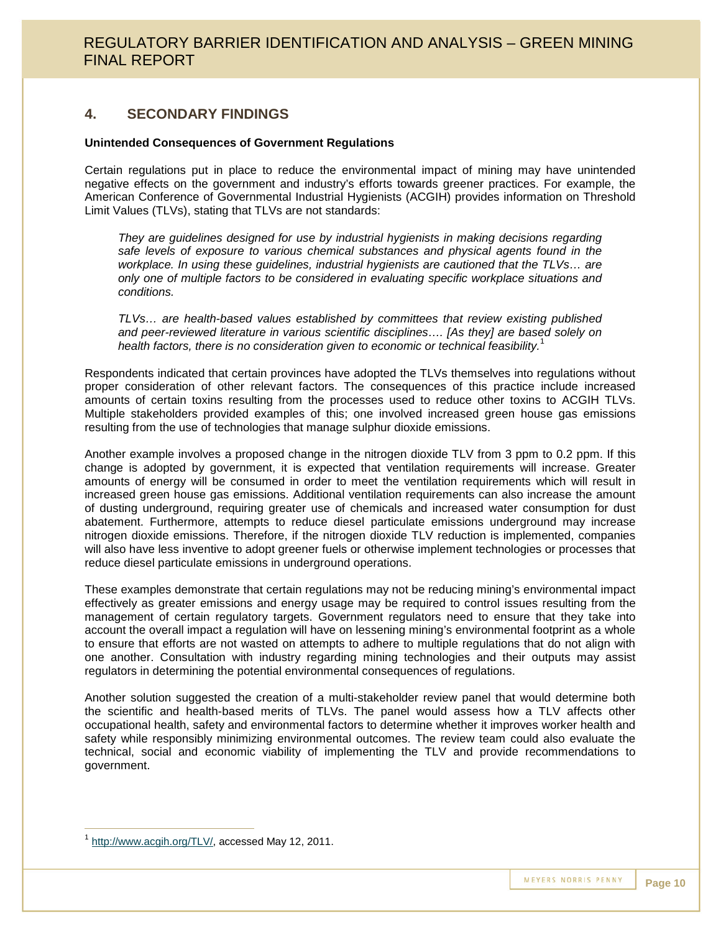### **4. SECONDARY FINDINGS**

#### **Unintended Consequences of Government Regulations**

Certain regulations put in place to reduce the environmental impact of mining may have unintended negative effects on the government and industry's efforts towards greener practices. For example, the American Conference of Governmental Industrial Hygienists (ACGIH) provides information on Threshold Limit Values (TLVs), stating that TLVs are not standards:

*They are guidelines designed for use by industrial hygienists in making decisions regarding safe levels of exposure to various chemical substances and physical agents found in the workplace. In using these guidelines, industrial hygienists are cautioned that the TLVs… are only one of multiple factors to be considered in evaluating specific workplace situations and conditions.*

*TLVs… are health-based values established by committees that review existing published and peer-reviewed literature in various scientific disciplines…. [As they] are based solely on health factors, there is no consideration given to economic or technical feasibility.*<sup>1</sup>

Respondents indicated that certain provinces have adopted the TLVs themselves into regulations without proper consideration of other relevant factors. The consequences of this practice include increased amounts of certain toxins resulting from the processes used to reduce other toxins to ACGIH TLVs. Multiple stakeholders provided examples of this; one involved increased green house gas emissions resulting from the use of technologies that manage sulphur dioxide emissions.

Another example involves a proposed change in the nitrogen dioxide TLV from 3 ppm to 0.2 ppm. If this change is adopted by government, it is expected that ventilation requirements will increase. Greater amounts of energy will be consumed in order to meet the ventilation requirements which will result in increased green house gas emissions. Additional ventilation requirements can also increase the amount of dusting underground, requiring greater use of chemicals and increased water consumption for dust abatement. Furthermore, attempts to reduce diesel particulate emissions underground may increase nitrogen dioxide emissions. Therefore, if the nitrogen dioxide TLV reduction is implemented, companies will also have less inventive to adopt greener fuels or otherwise implement technologies or processes that reduce diesel particulate emissions in underground operations.

These examples demonstrate that certain regulations may not be reducing mining's environmental impact effectively as greater emissions and energy usage may be required to control issues resulting from the management of certain regulatory targets. Government regulators need to ensure that they take into account the overall impact a regulation will have on lessening mining's environmental footprint as a whole to ensure that efforts are not wasted on attempts to adhere to multiple regulations that do not align with one another. Consultation with industry regarding mining technologies and their outputs may assist regulators in determining the potential environmental consequences of regulations.

Another solution suggested the creation of a multi-stakeholder review panel that would determine both the scientific and health-based merits of TLVs. The panel would assess how a TLV affects other occupational health, safety and environmental factors to determine whether it improves worker health and safety while responsibly minimizing environmental outcomes. The review team could also evaluate the technical, social and economic viability of implementing the TLV and provide recommendations to government.

<sup>1</sup> http://www.acgih.org/TLV/, accessed May 12, 2011.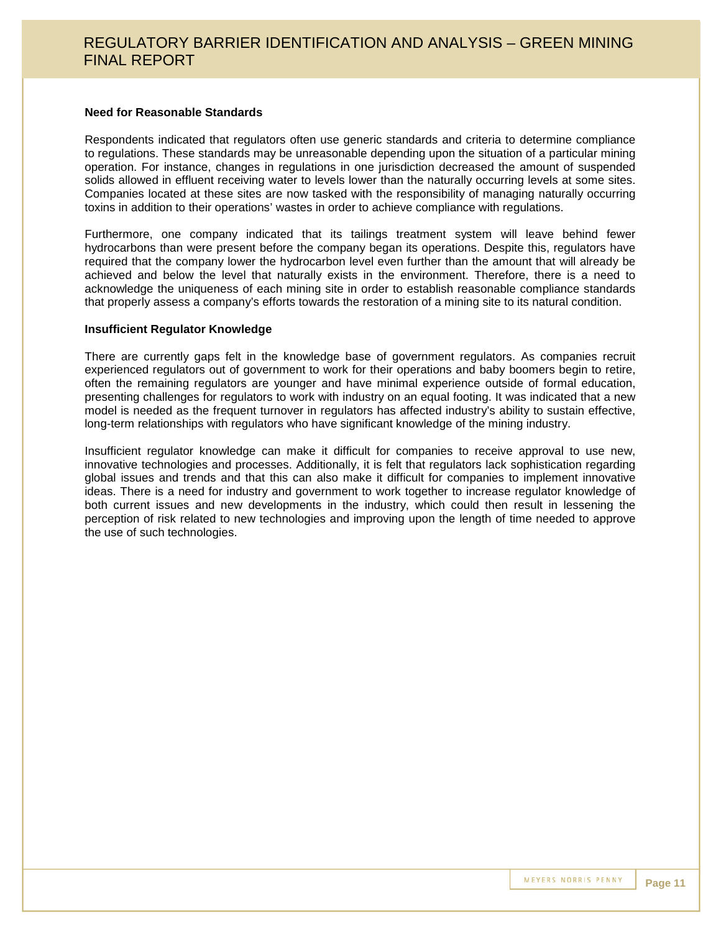#### **Need for Reasonable Standards**

Respondents indicated that regulators often use generic standards and criteria to determine compliance to regulations. These standards may be unreasonable depending upon the situation of a particular mining operation. For instance, changes in regulations in one jurisdiction decreased the amount of suspended solids allowed in effluent receiving water to levels lower than the naturally occurring levels at some sites. Companies located at these sites are now tasked with the responsibility of managing naturally occurring toxins in addition to their operations' wastes in order to achieve compliance with regulations.

Furthermore, one company indicated that its tailings treatment system will leave behind fewer hydrocarbons than were present before the company began its operations. Despite this, regulators have required that the company lower the hydrocarbon level even further than the amount that will already be achieved and below the level that naturally exists in the environment. Therefore, there is a need to acknowledge the uniqueness of each mining site in order to establish reasonable compliance standards that properly assess a company's efforts towards the restoration of a mining site to its natural condition.

#### **Insufficient Regulator Knowledge**

There are currently gaps felt in the knowledge base of government regulators. As companies recruit experienced regulators out of government to work for their operations and baby boomers begin to retire, often the remaining regulators are younger and have minimal experience outside of formal education, presenting challenges for regulators to work with industry on an equal footing. It was indicated that a new model is needed as the frequent turnover in regulators has affected industry's ability to sustain effective, long-term relationships with regulators who have significant knowledge of the mining industry.

Insufficient regulator knowledge can make it difficult for companies to receive approval to use new, innovative technologies and processes. Additionally, it is felt that regulators lack sophistication regarding global issues and trends and that this can also make it difficult for companies to implement innovative ideas. There is a need for industry and government to work together to increase regulator knowledge of both current issues and new developments in the industry, which could then result in lessening the perception of risk related to new technologies and improving upon the length of time needed to approve the use of such technologies.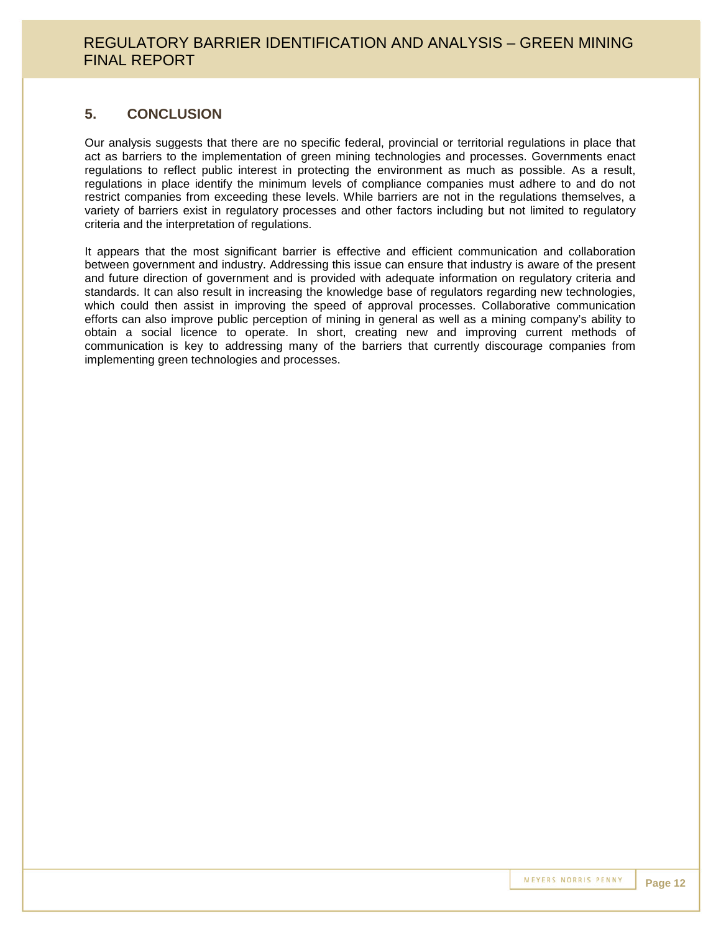### **5. CONCLUSION**

Our analysis suggests that there are no specific federal, provincial or territorial regulations in place that act as barriers to the implementation of green mining technologies and processes. Governments enact regulations to reflect public interest in protecting the environment as much as possible. As a result, regulations in place identify the minimum levels of compliance companies must adhere to and do not restrict companies from exceeding these levels. While barriers are not in the regulations themselves, a variety of barriers exist in regulatory processes and other factors including but not limited to regulatory criteria and the interpretation of regulations.

It appears that the most significant barrier is effective and efficient communication and collaboration between government and industry. Addressing this issue can ensure that industry is aware of the present and future direction of government and is provided with adequate information on regulatory criteria and standards. It can also result in increasing the knowledge base of regulators regarding new technologies, which could then assist in improving the speed of approval processes. Collaborative communication efforts can also improve public perception of mining in general as well as a mining company's ability to obtain a social licence to operate. In short, creating new and improving current methods of communication is key to addressing many of the barriers that currently discourage companies from implementing green technologies and processes.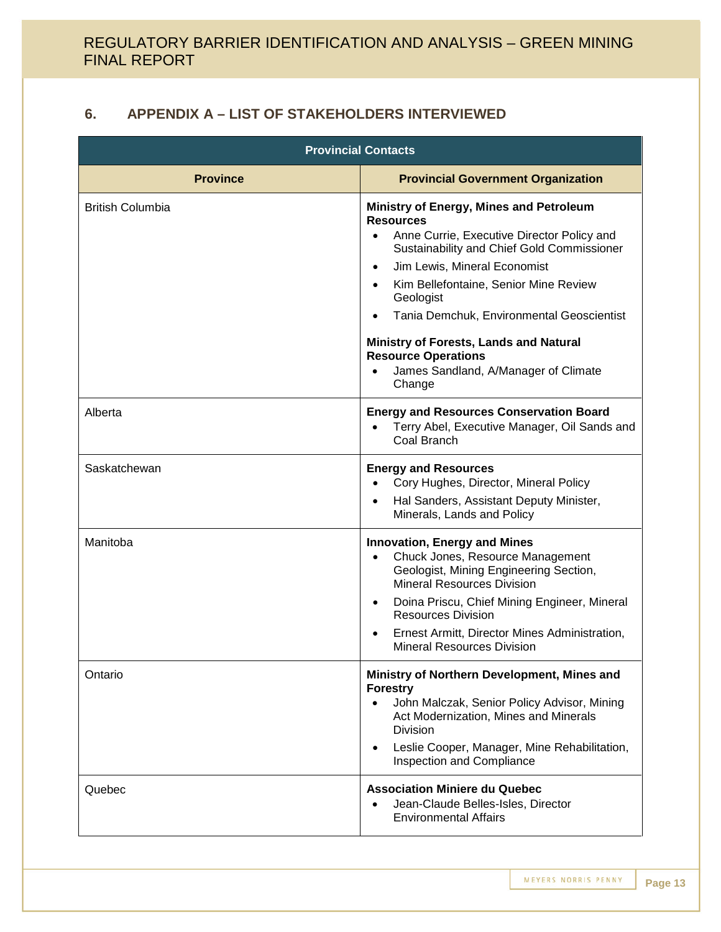## **6. APPENDIX A – LIST OF STAKEHOLDERS INTERVIEWED**

| <b>Provincial Contacts</b> |                                                                                                                                                                                                                                                                                                                                                                                                                                                |  |
|----------------------------|------------------------------------------------------------------------------------------------------------------------------------------------------------------------------------------------------------------------------------------------------------------------------------------------------------------------------------------------------------------------------------------------------------------------------------------------|--|
| <b>Province</b>            | <b>Provincial Government Organization</b>                                                                                                                                                                                                                                                                                                                                                                                                      |  |
| <b>British Columbia</b>    | Ministry of Energy, Mines and Petroleum<br><b>Resources</b><br>Anne Currie, Executive Director Policy and<br>$\bullet$<br>Sustainability and Chief Gold Commissioner<br>Jim Lewis, Mineral Economist<br>$\bullet$<br>Kim Bellefontaine, Senior Mine Review<br>Geologist<br>Tania Demchuk, Environmental Geoscientist<br>Ministry of Forests, Lands and Natural<br><b>Resource Operations</b><br>James Sandland, A/Manager of Climate<br>Change |  |
| Alberta                    | <b>Energy and Resources Conservation Board</b><br>Terry Abel, Executive Manager, Oil Sands and<br>Coal Branch                                                                                                                                                                                                                                                                                                                                  |  |
| Saskatchewan               | <b>Energy and Resources</b><br>Cory Hughes, Director, Mineral Policy<br>Hal Sanders, Assistant Deputy Minister,<br>Minerals, Lands and Policy                                                                                                                                                                                                                                                                                                  |  |
| Manitoba                   | <b>Innovation, Energy and Mines</b><br>Chuck Jones, Resource Management<br>$\bullet$<br>Geologist, Mining Engineering Section,<br><b>Mineral Resources Division</b><br>Doina Priscu, Chief Mining Engineer, Mineral<br>$\bullet$<br><b>Resources Division</b><br>Ernest Armitt, Director Mines Administration,<br>$\bullet$<br><b>Mineral Resources Division</b>                                                                               |  |
| Ontario                    | Ministry of Northern Development, Mines and<br><b>Forestry</b><br>John Malczak, Senior Policy Advisor, Mining<br>Act Modernization, Mines and Minerals<br><b>Division</b><br>Leslie Cooper, Manager, Mine Rehabilitation,<br>$\bullet$<br>Inspection and Compliance                                                                                                                                                                            |  |
| Quebec                     | <b>Association Miniere du Quebec</b><br>Jean-Claude Belles-Isles, Director<br><b>Environmental Affairs</b>                                                                                                                                                                                                                                                                                                                                     |  |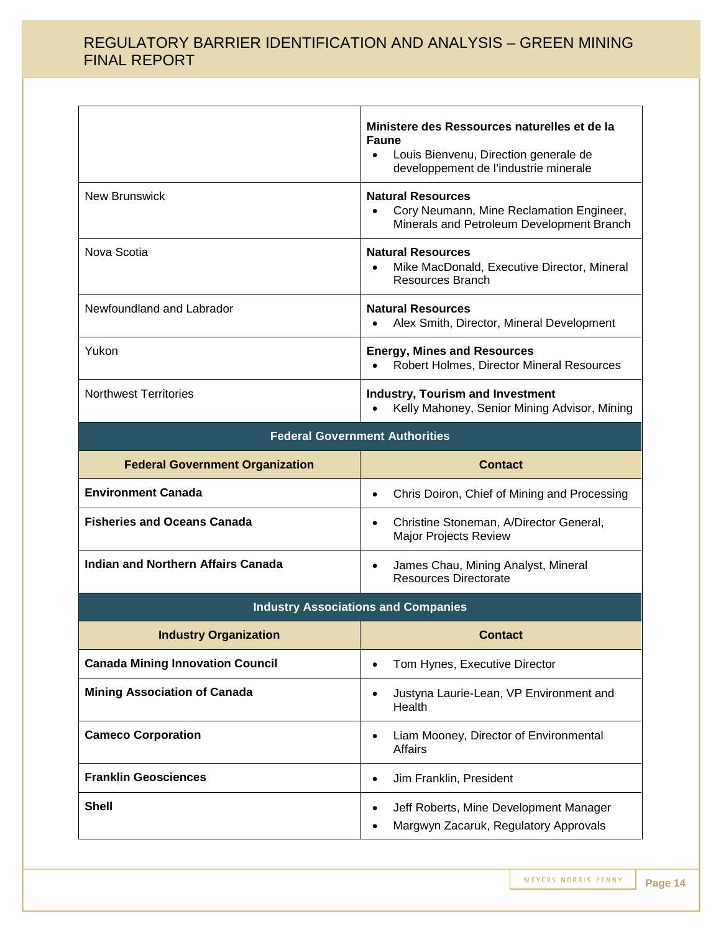|                              | Ministere des Ressources naturelles et de la<br><b>Faune</b><br>Louis Bienvenu, Direction generale de<br>$\bullet$<br>developpement de l'industrie minerale |
|------------------------------|-------------------------------------------------------------------------------------------------------------------------------------------------------------|
| <b>New Brunswick</b>         | <b>Natural Resources</b><br>Cory Neumann, Mine Reclamation Engineer,<br>٠<br>Minerals and Petroleum Development Branch                                      |
| Nova Scotia                  | <b>Natural Resources</b><br>Mike MacDonald, Executive Director, Mineral<br>$\bullet$<br>Resources Branch                                                    |
| Newfoundland and Labrador    | <b>Natural Resources</b><br>Alex Smith, Director, Mineral Development<br>٠                                                                                  |
| Yukon                        | <b>Energy, Mines and Resources</b><br>Robert Holmes, Director Mineral Resources<br>$\bullet$                                                                |
| <b>Northwest Territories</b> | <b>Industry, Tourism and Investment</b><br>Kelly Mahoney, Senior Mining Advisor, Mining                                                                     |

| <b>Federal Government Authorities</b>                         |                                                                                      |  |
|---------------------------------------------------------------|--------------------------------------------------------------------------------------|--|
| <b>Federal Government Organization</b>                        | <b>Contact</b>                                                                       |  |
| <b>Environment Canada</b>                                     | Chris Doiron, Chief of Mining and Processing<br>$\bullet$                            |  |
| <b>Fisheries and Oceans Canada</b>                            | Christine Stoneman, A/Director General,<br>$\bullet$<br><b>Major Projects Review</b> |  |
| Indian and Northern Affairs Canada                            | James Chau, Mining Analyst, Mineral<br>$\bullet$<br>Resources Directorate            |  |
| la decembro Anno 2008 este una condizione della constituzione |                                                                                      |  |

| <b>Industry Associations and Companies</b> |                                                                                      |  |
|--------------------------------------------|--------------------------------------------------------------------------------------|--|
| <b>Industry Organization</b>               | <b>Contact</b>                                                                       |  |
| <b>Canada Mining Innovation Council</b>    | Tom Hynes, Executive Director                                                        |  |
| <b>Mining Association of Canada</b>        | Justyna Laurie-Lean, VP Environment and<br>٠<br>Health                               |  |
| <b>Cameco Corporation</b>                  | Liam Mooney, Director of Environmental<br>٠<br>Affairs                               |  |
| <b>Franklin Geosciences</b>                | Jim Franklin, President<br>٠                                                         |  |
| <b>Shell</b>                               | Jeff Roberts, Mine Development Manager<br>٠<br>Margwyn Zacaruk, Regulatory Approvals |  |

MEYERS NORRIS PENNY **Page 14**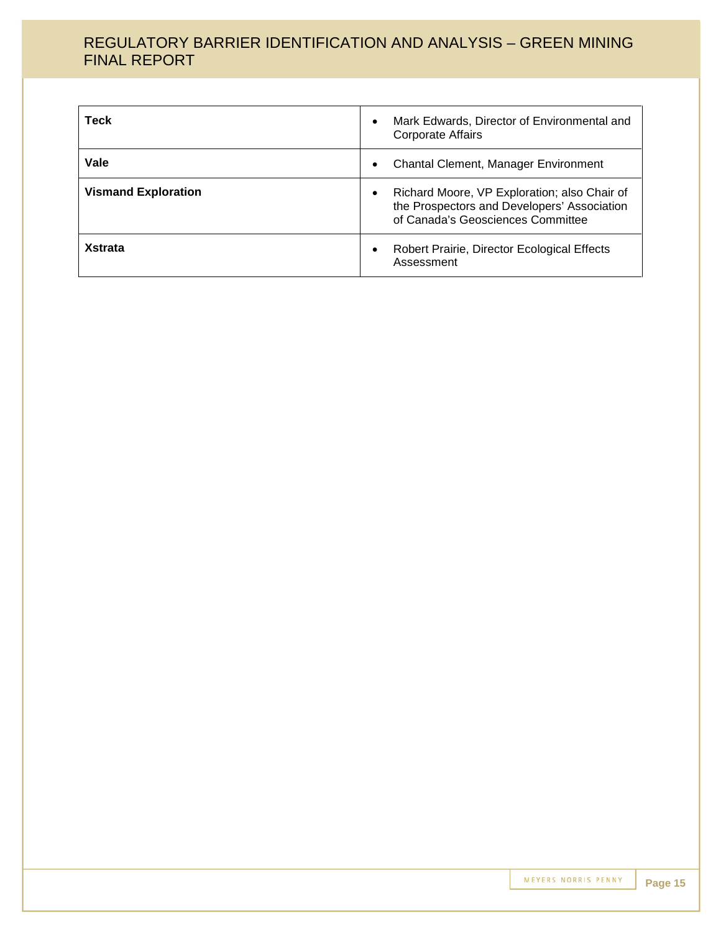| <b>Teck</b>                | Mark Edwards, Director of Environmental and<br><b>Corporate Affairs</b>                                                          |
|----------------------------|----------------------------------------------------------------------------------------------------------------------------------|
| Vale                       | <b>Chantal Clement, Manager Environment</b>                                                                                      |
| <b>Vismand Exploration</b> | Richard Moore, VP Exploration; also Chair of<br>the Prospectors and Developers' Association<br>of Canada's Geosciences Committee |
| <b>Xstrata</b>             | Robert Prairie, Director Ecological Effects<br>Assessment                                                                        |

MEYERS NORRIS PENNY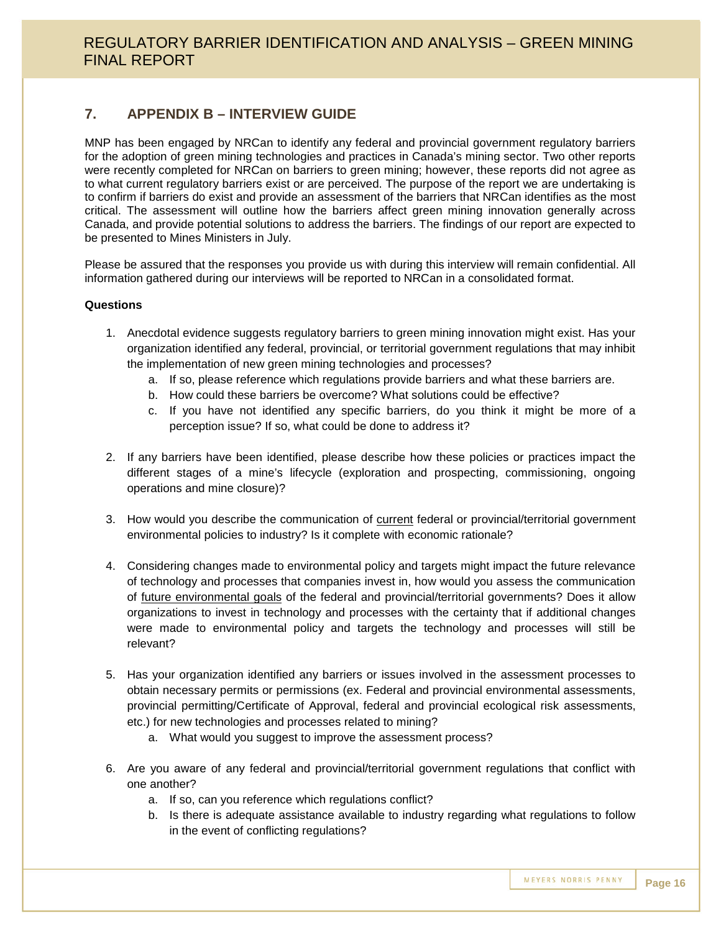### **7. APPENDIX B – INTERVIEW GUIDE**

MNP has been engaged by NRCan to identify any federal and provincial government regulatory barriers for the adoption of green mining technologies and practices in Canada's mining sector. Two other reports were recently completed for NRCan on barriers to green mining; however, these reports did not agree as to what current regulatory barriers exist or are perceived. The purpose of the report we are undertaking is to confirm if barriers do exist and provide an assessment of the barriers that NRCan identifies as the most critical. The assessment will outline how the barriers affect green mining innovation generally across Canada, and provide potential solutions to address the barriers. The findings of our report are expected to be presented to Mines Ministers in July.

Please be assured that the responses you provide us with during this interview will remain confidential. All information gathered during our interviews will be reported to NRCan in a consolidated format.

#### **Questions**

- 1. Anecdotal evidence suggests regulatory barriers to green mining innovation might exist. Has your organization identified any federal, provincial, or territorial government regulations that may inhibit the implementation of new green mining technologies and processes?
	- a. If so, please reference which regulations provide barriers and what these barriers are.
	- b. How could these barriers be overcome? What solutions could be effective?
	- c. If you have not identified any specific barriers, do you think it might be more of a perception issue? If so, what could be done to address it?
- 2. If any barriers have been identified, please describe how these policies or practices impact the different stages of a mine's lifecycle (exploration and prospecting, commissioning, ongoing operations and mine closure)?
- 3. How would you describe the communication of current federal or provincial/territorial government environmental policies to industry? Is it complete with economic rationale?
- 4. Considering changes made to environmental policy and targets might impact the future relevance of technology and processes that companies invest in, how would you assess the communication of future environmental goals of the federal and provincial/territorial governments? Does it allow organizations to invest in technology and processes with the certainty that if additional changes were made to environmental policy and targets the technology and processes will still be relevant?
- 5. Has your organization identified any barriers or issues involved in the assessment processes to obtain necessary permits or permissions (ex. Federal and provincial environmental assessments, provincial permitting/Certificate of Approval, federal and provincial ecological risk assessments, etc.) for new technologies and processes related to mining?
	- a. What would you suggest to improve the assessment process?
- 6. Are you aware of any federal and provincial/territorial government regulations that conflict with one another?
	- a. If so, can you reference which regulations conflict?
	- b. Is there is adequate assistance available to industry regarding what regulations to follow in the event of conflicting regulations?